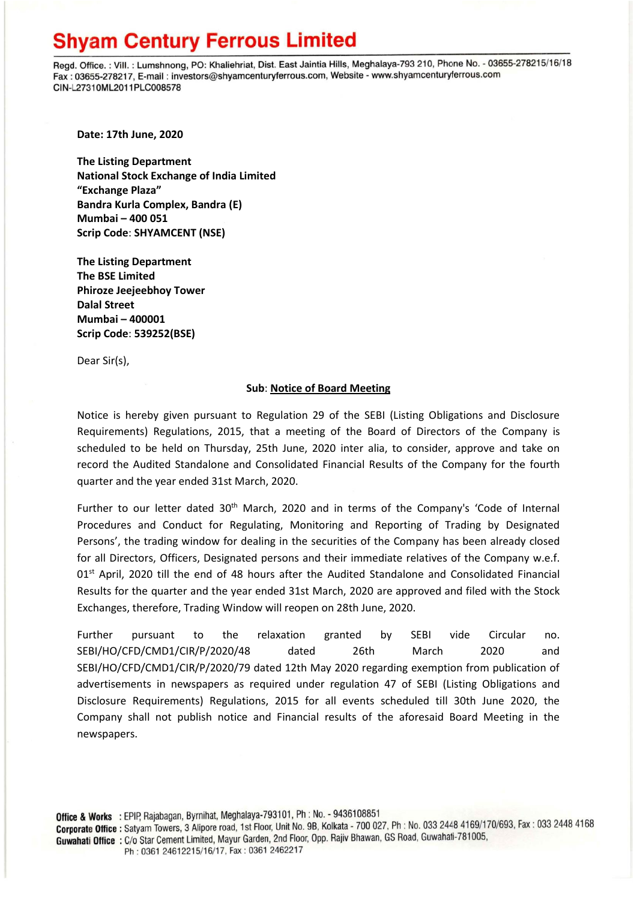## **Shyam Century Ferrous Limited**

Regd. Office.: Vill.: Lumshnong, PO: Khaliehriat, Dist. East Jaintia Hills, Meghalaya-793 210, Phone No. - 03655-278215/16/18 Fax: 03655-278217, E-mail: investors@shyamcenturyferrous.com, Website - www.shyamcenturyferrous.com CIN-L27310ML2011PLC008578

**Date: 17th June, 2020**

**The Listing Department National Stock Exchange of India Limited "Exchange Plaza" Bandra Kurla Complex, Bandra (E) Mumbai – 400 051 Scrip Code**: **SHYAMCENT (NSE)**

**The Listing Department The BSE Limited Phiroze Jeejeebhoy Tower Dalal Street Mumbai – 400001 Scrip Code**: **539252(BSE)**

Dear Sir(s),

## **Sub**: **Notice of Board Meeting**

Notice is hereby given pursuant to Regulation 29 of the SEBI (Listing Obligations and Disclosure Requirements) Regulations, 2015, that a meeting of the Board of Directors of the Company is scheduled to be held on Thursday, 25th June, 2020 inter alia, to consider, approve and take on record the Audited Standalone and Consolidated Financial Results of the Company for the fourth quarter and the year ended 31st March, 2020.

Further to our letter dated 30<sup>th</sup> March, 2020 and in terms of the Company's 'Code of Internal Procedures and Conduct for Regulating, Monitoring and Reporting of Trading by Designated Persons', the trading window for dealing in the securities of the Company has been already closed for all Directors, Officers, Designated persons and their immediate relatives of the Company w.e.f. 01<sup>st</sup> April, 2020 till the end of 48 hours after the Audited Standalone and Consolidated Financial Results for the quarter and the year ended 31st March, 2020 are approved and filed with the Stock Exchanges, therefore, Trading Window will reopen on 28th June, 2020.

Further pursuant to the relaxation granted by SEBI vide Circular no. SEBI/HO/CFD/CMD1/CIR/P/2020/48 dated 26th March 2020 and SEBI/HO/CFD/CMD1/CIR/P/2020/79 dated 12th May 2020 regarding exemption from publication of advertisements in newspapers as required under regulation 47 of SEBI (Listing Obligations and Disclosure Requirements) Regulations, 2015 for all events scheduled till 30th June 2020, the Company shall not publish notice and Financial results of the aforesaid Board Meeting in the newspapers.